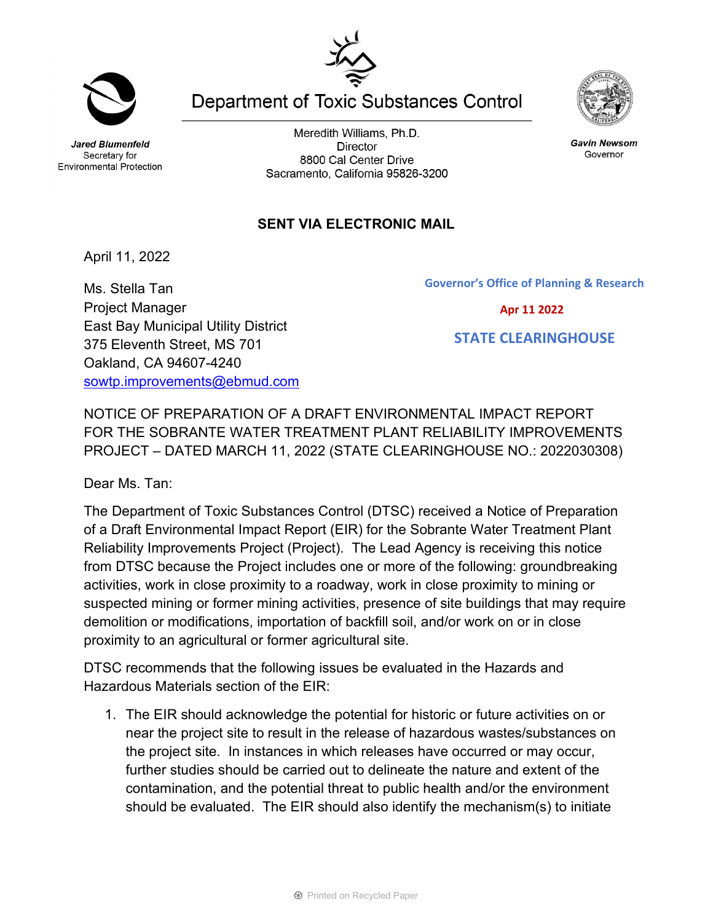**Jared Blumenfeld** Secretary for

Meredith Williams, Ph.D. **Director** 8800 Cal Center Drive Sacramento, California 95826-3200

**Department of Toxic Substances Control** 

## **SENT VIA ELECTRONIC MAIL**

April 11, 2022

Ms. Stella Tan Project Manager East Bay Municipal Utility District 375 Eleventh Street, MS 701 Oakland, CA 94607-4240 [sowtp.improvements@ebmud.com](mailto:sowtp.improvements@ebmud.com)

NOTICE OF PREPARATION OF A DRAFT ENVIRONMENTAL IMPACT REPORT FOR THE SOBRANTE WATER TREATMENT PLANT RELIABILITY IMPROVEMENTS PROJECT – DATED MARCH 11, 2022 (STATE CLEARINGHOUSE NO.: 2022030308)

Dear Ms. Tan:

The Department of Toxic Substances Control (DTSC) received a Notice of Preparation of a Draft Environmental Impact Report (EIR) for the Sobrante Water Treatment Plant Reliability Improvements Project (Project). The Lead Agency is receiving this notice from DTSC because the Project includes one or more of the following: groundbreaking activities, work in close proximity to a roadway, work in close proximity to mining or suspected mining or former mining activities, presence of site buildings that may require demolition or modifications, importation of backfill soil, and/or work on or in close proximity to an agricultural or former agricultural site.

DTSC recommends that the following issues be evaluated in the Hazards and Hazardous Materials section of the EIR:

1. The EIR should acknowledge the potential for historic or future activities on or near the project site to result in the release of hazardous wastes/substances on the project site. In instances in which releases have occurred or may occur, further studies should be carried out to delineate the nature and extent of the contamination, and the potential threat to public health and/or the environment should be evaluated. The EIR should also identify the mechanism(s) to initiate



**Gavin Newsom** Governor





**Governor's Office of Planning & Research**

 **Apr 11 2022**

 **STATE CLEARINGHOUSE**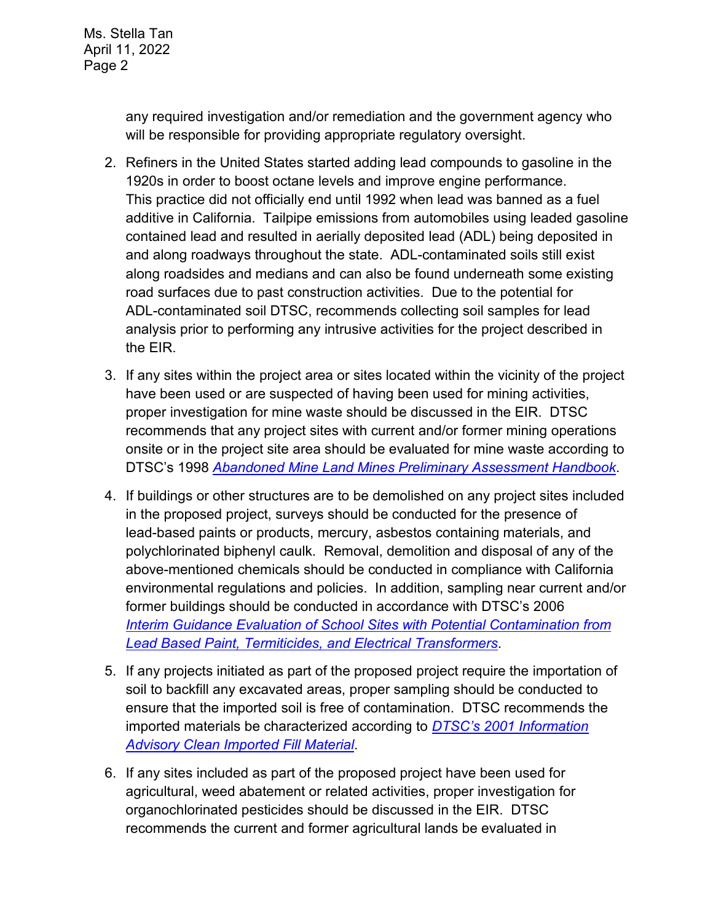any required investigation and/or remediation and the government agency who will be responsible for providing appropriate regulatory oversight.

- 2. Refiners in the United States started adding lead compounds to gasoline in the 1920s in order to boost octane levels and improve engine performance. This practice did not officially end until 1992 when lead was banned as a fuel additive in California. Tailpipe emissions from automobiles using leaded gasoline contained lead and resulted in aerially deposited lead (ADL) being deposited in and along roadways throughout the state. ADL-contaminated soils still exist along roadsides and medians and can also be found underneath some existing road surfaces due to past construction activities. Due to the potential for ADL-contaminated soil DTSC, recommends collecting soil samples for lead analysis prior to performing any intrusive activities for the project described in the EIR.
- 3. If any sites within the project area or sites located within the vicinity of the project have been used or are suspected of having been used for mining activities, proper investigation for mine waste should be discussed in the EIR. DTSC recommends that any project sites with current and/or former mining operations onsite or in the project site area should be evaluated for mine waste according to DTSC's 1998 *[Abandoned Mine Land Mines Preliminary Assessment Handbook](https://dtsc.ca.gov/2020/04/17/document-request/?wpf337186_14=https://dtsc.ca.gov/wp-content/uploads/sites/31/2018/11/aml_handbook.pdf)*.
- 4. If buildings or other structures are to be demolished on any project sites included in the proposed project, surveys should be conducted for the presence of lead-based paints or products, mercury, asbestos containing materials, and polychlorinated biphenyl caulk. Removal, demolition and disposal of any of the above-mentioned chemicals should be conducted in compliance with California environmental regulations and policies. In addition, sampling near current and/or former buildings should be conducted in accordance with DTSC's 2006 *Interim [Guidance Evaluation of School Sites with Potential Contamination from](https://dtsc.ca.gov/2020/04/17/document-request/?wpf337186_14=https://dtsc.ca.gov/wpcontent/uploads/sites/31/2018/09/Guidance_Lead_%20%20Contamination_050118.pdf)  [Lead Based Paint, Termiticides, and Electrical Transformers](https://dtsc.ca.gov/2020/04/17/document-request/?wpf337186_14=https://dtsc.ca.gov/wpcontent/uploads/sites/31/2018/09/Guidance_Lead_%20%20Contamination_050118.pdf)*.
- 5. If any projects initiated as part of the proposed project require the importation of soil to backfill any excavated areas, proper sampling should be conducted to ensure that the imported soil is free of contamination. DTSC recommends the imported materials be characterized according to *[DTSC's 2001 Information](https://dtsc.ca.gov/wp-content/uploads/sites/31/2018/09/SMP_FS_Cleanfill-Schools.pdf)  [Advisory Clean Imported Fill Material](https://dtsc.ca.gov/wp-content/uploads/sites/31/2018/09/SMP_FS_Cleanfill-Schools.pdf)*.
- 6. If any sites included as part of the proposed project have been used for agricultural, weed abatement or related activities, proper investigation for organochlorinated pesticides should be discussed in the EIR. DTSC recommends the current and former agricultural lands be evaluated in